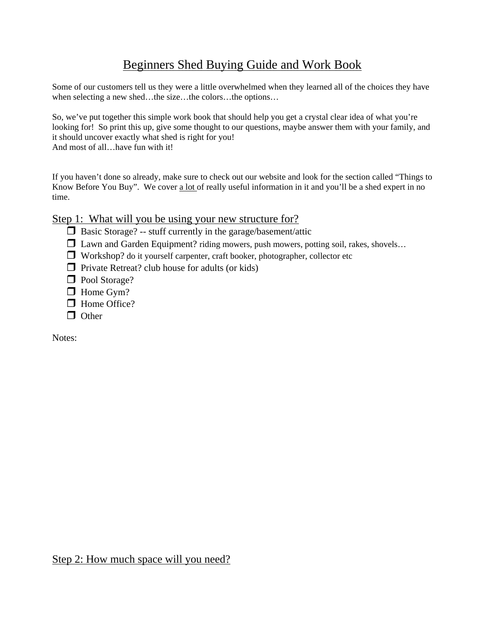# Beginners Shed Buying Guide and Work Book

Some of our customers tell us they were a little overwhelmed when they learned all of the choices they have when selecting a new shed…the size…the colors…the options…

So, we've put together this simple work book that should help you get a crystal clear idea of what you're looking for! So print this up, give some thought to our questions, maybe answer them with your family, and it should uncover exactly what shed is right for you! And most of all…have fun with it!

If you haven't done so already, make sure to check out our website and look for the section called "Things to Know Before You Buy". We cover a lot of really useful information in it and you'll be a shed expert in no time.

### Step 1: What will you be using your new structure for?

- $\Box$  Basic Storage? -- stuff currently in the garage/basement/attic
- $\Box$  Lawn and Garden Equipment? riding mowers, push mowers, potting soil, rakes, shovels...
- Workshop? do it yourself carpenter, craft booker, photographer, collector etc
- $\Box$  Private Retreat? club house for adults (or kids)
- **D** Pool Storage?
- $\Box$  Home Gym?
- □ Home Office?
- $\Box$  Other

Notes: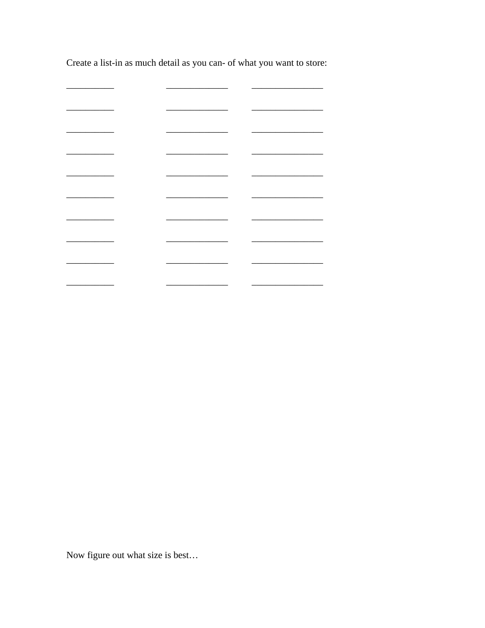Create a list-in as much detail as you can- of what you want to store:

 $\overline{\phantom{a}}$  $\overline{\phantom{0}}$  $\overline{\phantom{0}}$ L.  $\sim$  $\overline{\phantom{0}}$  $\sim$  $\overline{\phantom{0}}$  $\overline{\phantom{0}}$  $\begin{tabular}{cccccc} \multicolumn{2}{c|}{\textbf{1} & \textbf{2} & \textbf{3} & \textbf{4} & \textbf{5} & \textbf{5} & \textbf{6} & \textbf{6} & \textbf{7} & \textbf{8} & \textbf{8} & \textbf{9} & \textbf{10} & \textbf{10} & \textbf{10} & \textbf{10} & \textbf{10} & \textbf{10} & \textbf{10} & \textbf{10} & \textbf{10} & \textbf{10} & \textbf{10} & \textbf{10} & \textbf{10} & \textbf{10} & \textbf{1$  $\overline{\phantom{0}}$  $\overline{\phantom{0}}$  $\overline{\phantom{a}}$  $\overline{\phantom{0}}$  $\overline{\phantom{0}}$  $\overline{\phantom{0}}$ <u> 1989 - Johann Barnett, fransk politiker (</u>  $\overline{\phantom{a}}$ ÷.  $\overline{\phantom{0}}$  $\overline{\phantom{a}}$ 

Now figure out what size is best...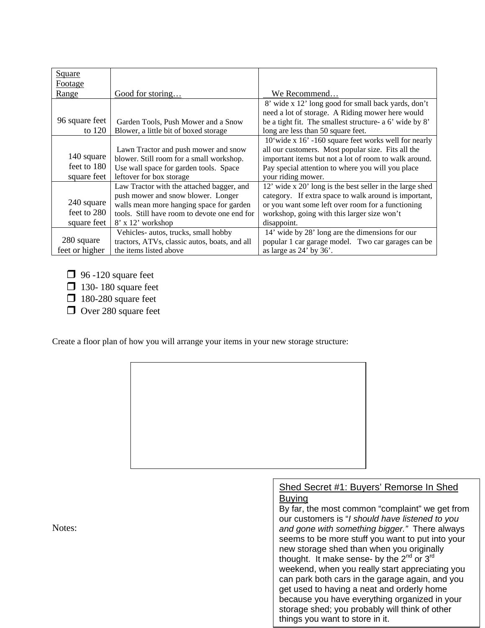| <b>Square</b>  |                                               |                                                          |
|----------------|-----------------------------------------------|----------------------------------------------------------|
| Footage        |                                               |                                                          |
| Range          | Good for storing                              | We Recommend                                             |
|                |                                               | 8' wide x 12' long good for small back yards, don't      |
|                |                                               | need a lot of storage. A Riding mower here would         |
| 96 square feet | Garden Tools, Push Mower and a Snow           | be a tight fit. The smallest structure- a 6' wide by 8'  |
| to 120         | Blower, a little bit of boxed storage         | long are less than 50 square feet.                       |
|                |                                               | 10'wide x 16' -160 square feet works well for nearly     |
|                | Lawn Tractor and push mower and snow          | all our customers. Most popular size. Fits all the       |
| 140 square     | blower. Still room for a small workshop.      | important items but not a lot of room to walk around.    |
| feet to 180    | Use wall space for garden tools. Space        | Pay special attention to where you will you place        |
| square feet    | leftover for box storage                      | your riding mower.                                       |
|                | Law Tractor with the attached bagger, and     | 12' wide x 20' long is the best seller in the large shed |
|                | push mower and snow blower. Longer            | category. If extra space to walk around is important,    |
| 240 square     | walls mean more hanging space for garden      | or you want some left over room for a functioning        |
| feet to 280    | tools. Still have room to devote one end for  | workshop, going with this larger size won't              |
| square feet    | 8' x 12' workshop                             | disappoint.                                              |
|                | Vehicles- autos, trucks, small hobby          | 14' wide by 28' long are the dimensions for our          |
| 280 square     | tractors, ATVs, classic autos, boats, and all | popular 1 car garage model. Two car garages can be       |
| feet or higher | the items listed above                        | as large as $24'$ by $36'$ .                             |

- $\Box$  96 -120 square feet
- $\Box$  130- 180 square feet
- $\Box$  180-280 square feet
- $\Box$  Over 280 square feet

Create a floor plan of how you will arrange your items in your new storage structure:



Buying By far, the most common "complaint" we get from our customers is "*I should have listened to you and gone with something bigger."* There always seems to be more stuff you want to put into your new storage shed than when you originally thought. It make sense- by the 2<sup>nd</sup> or 3<sup>rd</sup> weekend, when you really start appreciating you can park both cars in the garage again, and you get used to having a neat and orderly home because you have everything organized in your storage shed; you probably will think of other things you want to store in it.

Notes: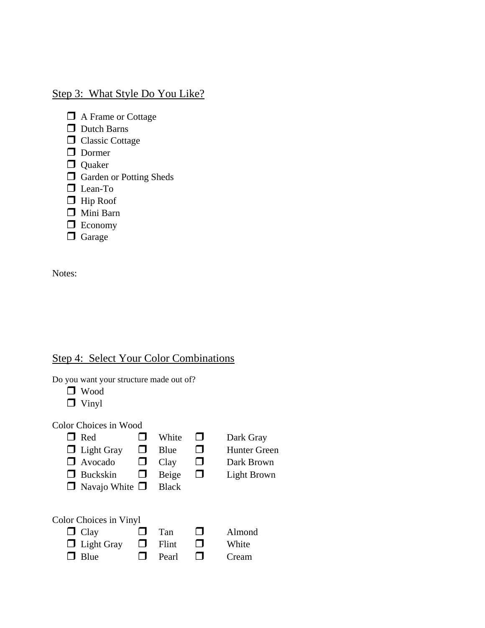# Step 3: What Style Do You Like?

- □ A Frame or Cottage
- Dutch Barns
- **C** Classic Cottage
- Dormer
- **Quaker**
- **C** Garden or Potting Sheds
- **D** Lean-To
- $\Box$  Hip Roof
- Mini Barn
- **Economy**
- **O** Garage

Notes:

## Step 4: Select Your Color Combinations

Do you want your structure made out of?

- Wood
- **D** Vinyl

#### Color Choices in Wood

- $\Box$  Red  $\Box$  White  $\Box$  Dark Gray  $\Box$  Light Gray  $\Box$  Blue  $\Box$  Hunter Green Avocado Clay Dark Brown
- $\Box$  Buckskin  $\Box$  Beige  $\Box$  Light Brown
- $\Box$  Navajo White  $\Box$  Black
- 

| Color Choices in Vinyl |        |              |                                                                                                                                                                                                                                      |        |  |  |  |  |
|------------------------|--------|--------------|--------------------------------------------------------------------------------------------------------------------------------------------------------------------------------------------------------------------------------------|--------|--|--|--|--|
| $\Box$ Clay            | $\Box$ | Tan          | <b>The Contract of the Contract of the Contract of the Contract of the Contract of the Contract of the Contract of the Contract of the Contract of the Contract of the Contract of the Contract of the Contract of the Contract </b> | Almond |  |  |  |  |
| $\Box$ Light Gray      |        | $\Box$ Flint | <b>The Contract of the Contract of the Contract of the Contract of the Contract of the Contract of the Contract of the Contract of the Contract of the Contract of the Contract of the Contract of The Contract of The Contract </b> | White  |  |  |  |  |
| $\Box$ Blue            | $\Box$ | Pearl        | <b>TI</b>                                                                                                                                                                                                                            | Cream  |  |  |  |  |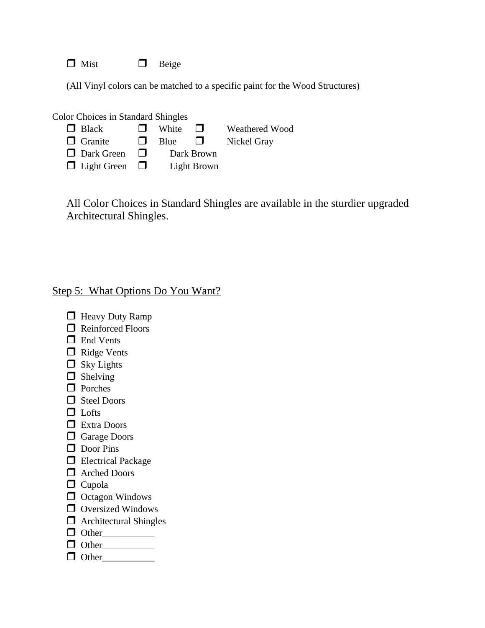$\Box$  Mist  $\Box$  Beige

(All Vinyl colors can be matched to a specific paint for the Wood Structures)

| <b>Color Choices in Standard Shingles</b> |              |                                                                                                                                                                                                                                      |                       |  |  |  |  |  |
|-------------------------------------------|--------------|--------------------------------------------------------------------------------------------------------------------------------------------------------------------------------------------------------------------------------------|-----------------------|--|--|--|--|--|
|                                           | White        | <b>The Contract of the Contract of the Contract of the Contract of the Contract of the Contract of the Contract of the Contract of the Contract of the Contract of the Contract of the Contract of The Contract of The Contract </b> | <b>Weathered Wood</b> |  |  |  |  |  |
| $\mathbf{L}$                              | <b>B</b> lue | <b>COLLEGE</b>                                                                                                                                                                                                                       | Nickel Gray           |  |  |  |  |  |
| $\mathbf{I}$                              | Dark Brown   |                                                                                                                                                                                                                                      |                       |  |  |  |  |  |
| $\Box$ Light Green $\Box$                 | Light Brown  |                                                                                                                                                                                                                                      |                       |  |  |  |  |  |
|                                           |              |                                                                                                                                                                                                                                      |                       |  |  |  |  |  |

All Color Choices in Standard Shingles are available in the sturdier upgraded Architectural Shingles.

### Step 5: What Options Do You Want?

- **Heavy Duty Ramp** Reinforced Floors
- **D** End Vents
- Ridge Vents
- $\Box$  Sky Lights
- $\Box$  Shelving
- **D** Porches
- □ Steel Doors
- $\Box$  Lofts
- Extra Doors
- **Garage Doors**
- Door Pins
- **Electrical Package**
- Arched Doors
- $\Box$  Cupola
- $\Box$  Octagon Windows
- **O** Oversized Windows
- $\Box$  Architectural Shingles
- Other\_\_\_\_\_\_\_\_\_\_\_
- Other\_\_\_\_\_\_\_\_\_\_\_
- Other\_\_\_\_\_\_\_\_\_\_\_